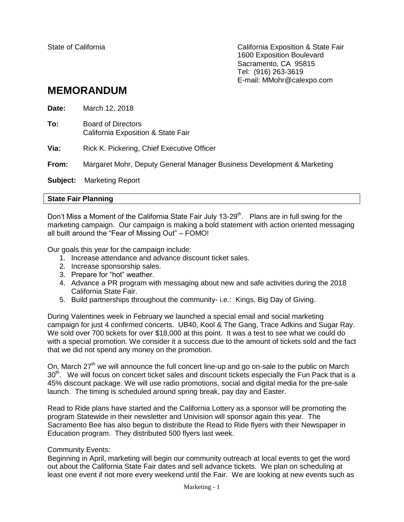State of California California Exposition & State Fair 1600 Exposition Boulevard Sacramento, CA 95815 Tel: (916) 263-3619 E-mail: MMohr@calexpo.com

## **MEMORANDUM**

| Date:    | March 12, 2018                                                         |
|----------|------------------------------------------------------------------------|
| To:      | Board of Directors<br>California Exposition & State Fair               |
| Via:     | Rick K. Pickering, Chief Executive Officer                             |
| From:    | Margaret Mohr, Deputy General Manager Business Development & Marketing |
| Subject: | <b>Marketing Report</b>                                                |

## **State Fair Planning**

Don't Miss a Moment of the California State Fair July 13-29<sup>th</sup>. Plans are in full swing for the marketing campaign. Our campaign is making a bold statement with action oriented messaging all built around the "Fear of Missing Out" – FOMO!

Our goals this year for the campaign include:

- 1. Increase attendance and advance discount ticket sales.
- 2. Increase sponsorship sales.
- 3. Prepare for "hot" weather.
- 4. Advance a PR program with messaging about new and safe activities during the 2018 California State Fair.
- 5. Build partnerships throughout the community- i.e.: Kings, Big Day of Giving.

During Valentines week in February we launched a special email and social marketing campaign for just 4 confirmed concerts. UB40, Kool & The Gang, Trace Adkins and Sugar Ray. We sold over 700 tickets for over \$18,000 at this point. It was a test to see what we could do with a special promotion. We consider it a success due to the amount of tickets sold and the fact that we did not spend any money on the promotion.

On. March 27<sup>th</sup> we will announce the full concert line-up and go on-sale to the public on March 30<sup>th</sup>. We will focus on concert ticket sales and discount tickets especially the Fun Pack that is a 45% discount package. We will use radio promotions, social and digital media for the pre-sale launch. The timing is scheduled around spring break, pay day and Easter.

Read to Ride plans have started and the California Lottery as a sponsor will be promoting the program Statewide in their newsletter and Univision will sponsor again this year. The Sacramento Bee has also begun to distribute the Read to Ride flyers with their Newspaper in Education program. They distributed 500 flyers last week.

## Community Events:

Beginning in April, marketing will begin our community outreach at local events to get the word out about the California State Fair dates and sell advance tickets. We plan on scheduling at least one event if not more every weekend until the Fair. We are looking at new events such as